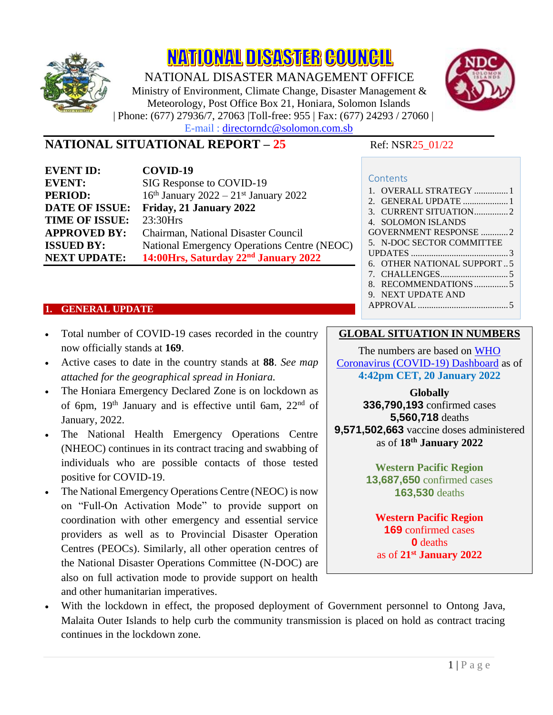

NATIONAL DISASTER COUNCIL NATIONAL DISASTER MANAGEMENT OFFICE

Ministry of Environment, Climate Change, Disaster Management & Meteorology, Post Office Box 21, Honiara, Solomon Islands | Phone: (677) 27936/7, 27063 |Toll-free: 955 | Fax: (677) 24293 / 27060 | E-mail : directorndc@solomon.com.sb



# **NATIONAL SITUATIONAL REPORT – 25** Ref: NSR25\_01/22

| <b>EVENT ID:</b>      | COVID-19                                            |
|-----------------------|-----------------------------------------------------|
| <b>EVENT:</b>         | SIG Response to COVID-19                            |
| <b>PERIOD:</b>        | $16th$ January 2022 – 21 <sup>st</sup> January 2022 |
| <b>DATE OF ISSUE:</b> | Friday, 21 January 2022                             |
| <b>TIME OF ISSUE:</b> | 23:30Hrs                                            |
| <b>APPROVED BY:</b>   | Chairman, National Disaster Council                 |
| <b>ISSUED BY:</b>     | National Emergency Operations Centre (NEOC)         |
| <b>NEXT UPDATE:</b>   | 14:00Hrs, Saturday 22 <sup>nd</sup> January 2022    |

| Contents                     |
|------------------------------|
| 1. OVERALL STRATEGY 1        |
|                              |
|                              |
| 4. SOLOMON ISLANDS           |
| <b>GOVERNMENT RESPONSE 2</b> |
| 5. N-DOC SECTOR COMMITTEE    |
| UPDATES $\ldots$ 3           |
| 6. OTHER NATIONAL SUPPORT    |
|                              |
| 8.                           |
| NEXT UPDATE AND              |
| APPROVAL                     |

#### <span id="page-0-0"></span>**1. GENERAL UPDATE**

- Total number of COVID-19 cases recorded in the country now officially stands at **169**.
- Active cases to date in the country stands at **88**. *See map attached for the geographical spread in Honiara.*
- The Honiara Emergency Declared Zone is on lockdown as of 6pm, 19th January and is effective until 6am, 22nd of January, 2022.
- The National Health Emergency Operations Centre (NHEOC) continues in its contract tracing and swabbing of individuals who are possible contacts of those tested positive for COVID-19.
- The National Emergency Operations Centre (NEOC) is now on "Full-On Activation Mode" to provide support on coordination with other emergency and essential service providers as well as to Provincial Disaster Operation Centres (PEOCs). Similarly, all other operation centres of the National Disaster Operations Committee (N-DOC) are also on full activation mode to provide support on health and other humanitarian imperatives.

### **GLOBAL SITUATION IN NUMBERS**

The numbers are based on [WHO](https://covid19.who.int/)  [Coronavirus \(COVID-19\) Dashboard](https://covid19.who.int/) as of **4:42pm CET, 20 January 2022**

**Globally**

**336,790,193** confirmed cases **5,560,718** deaths **9,571,502,663** vaccine doses administered as of **18 th January 2022**

> **Western Pacific Region 13,687,650** confirmed cases **163,530** deaths

**Western Pacific Region 169** confirmed cases **0** deaths as of **21 st January 2022**

With the lockdown in effect, the proposed deployment of Government personnel to Ontong Java, Malaita Outer Islands to help curb the community transmission is placed on hold as contract tracing continues in the lockdown zone.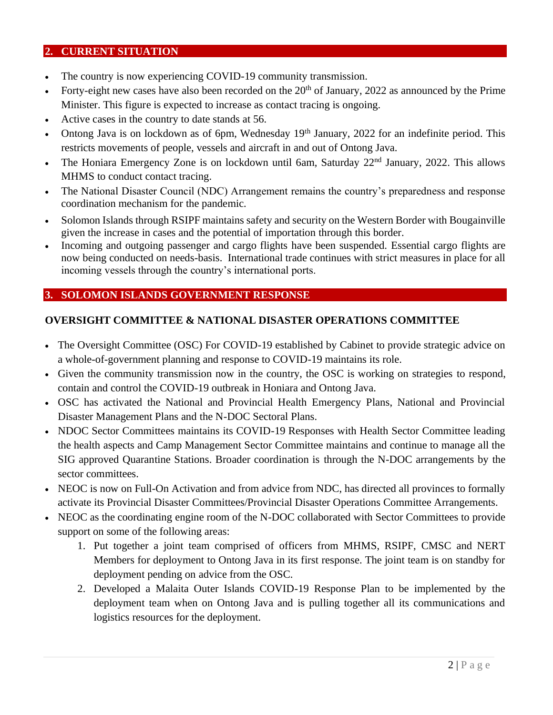#### <span id="page-1-0"></span>**2. CURRENT SITUATION**

- The country is now experiencing COVID-19 community transmission.
- Forty-eight new cases have also been recorded on the  $20<sup>th</sup>$  of January, 2022 as announced by the Prime Minister. This figure is expected to increase as contact tracing is ongoing.
- Active cases in the country to date stands at 56.
- Ontong Java is on lockdown as of 6pm, Wednesday 19<sup>th</sup> January, 2022 for an indefinite period. This restricts movements of people, vessels and aircraft in and out of Ontong Java.
- The Honiara Emergency Zone is on lockdown until 6am, Saturday 22<sup>nd</sup> January, 2022. This allows MHMS to conduct contact tracing.
- The National Disaster Council (NDC) Arrangement remains the country's preparedness and response coordination mechanism for the pandemic.
- Solomon Islands through RSIPF maintains safety and security on the Western Border with Bougainville given the increase in cases and the potential of importation through this border.
- Incoming and outgoing passenger and cargo flights have been suspended. Essential cargo flights are now being conducted on needs-basis. International trade continues with strict measures in place for all incoming vessels through the country's international ports.

### <span id="page-1-1"></span>**3. SOLOMON ISLANDS GOVERNMENT RESPONSE**

#### **OVERSIGHT COMMITTEE & NATIONAL DISASTER OPERATIONS COMMITTEE**

- The Oversight Committee (OSC) For COVID-19 established by Cabinet to provide strategic advice on a whole-of-government planning and response to COVID-19 maintains its role.
- Given the community transmission now in the country, the OSC is working on strategies to respond, contain and control the COVID-19 outbreak in Honiara and Ontong Java.
- OSC has activated the National and Provincial Health Emergency Plans, National and Provincial Disaster Management Plans and the N-DOC Sectoral Plans.
- NDOC Sector Committees maintains its COVID-19 Responses with Health Sector Committee leading the health aspects and Camp Management Sector Committee maintains and continue to manage all the SIG approved Quarantine Stations. Broader coordination is through the N-DOC arrangements by the sector committees.
- NEOC is now on Full-On Activation and from advice from NDC, has directed all provinces to formally activate its Provincial Disaster Committees/Provincial Disaster Operations Committee Arrangements.
- NEOC as the coordinating engine room of the N-DOC collaborated with Sector Committees to provide support on some of the following areas:
	- 1. Put together a joint team comprised of officers from MHMS, RSIPF, CMSC and NERT Members for deployment to Ontong Java in its first response. The joint team is on standby for deployment pending on advice from the OSC.
	- 2. Developed a Malaita Outer Islands COVID-19 Response Plan to be implemented by the deployment team when on Ontong Java and is pulling together all its communications and logistics resources for the deployment.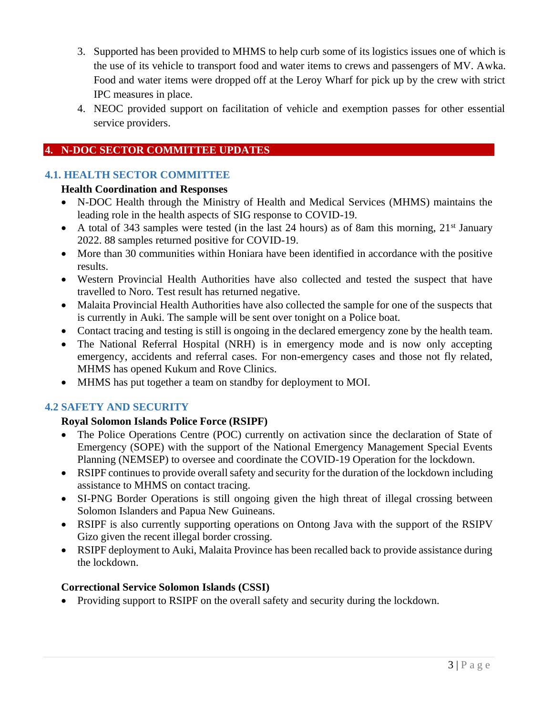- 3. Supported has been provided to MHMS to help curb some of its logistics issues one of which is the use of its vehicle to transport food and water items to crews and passengers of MV. Awka. Food and water items were dropped off at the Leroy Wharf for pick up by the crew with strict IPC measures in place.
- 4. NEOC provided support on facilitation of vehicle and exemption passes for other essential service providers.

## <span id="page-2-0"></span>**4. N-DOC SECTOR COMMITTEE UPDATES**

#### **4.1. HEALTH SECTOR COMMITTEE**

#### **Health Coordination and Responses**

- N-DOC Health through the Ministry of Health and Medical Services (MHMS) maintains the leading role in the health aspects of SIG response to COVID-19.
- A total of 343 samples were tested (in the last 24 hours) as of 8am this morning,  $21<sup>st</sup>$  January 2022. 88 samples returned positive for COVID-19.
- More than 30 communities within Honiara have been identified in accordance with the positive results.
- Western Provincial Health Authorities have also collected and tested the suspect that have travelled to Noro. Test result has returned negative.
- Malaita Provincial Health Authorities have also collected the sample for one of the suspects that is currently in Auki. The sample will be sent over tonight on a Police boat.
- Contact tracing and testing is still is ongoing in the declared emergency zone by the health team.
- The National Referral Hospital (NRH) is in emergency mode and is now only accepting emergency, accidents and referral cases. For non-emergency cases and those not fly related, MHMS has opened Kukum and Rove Clinics.
- MHMS has put together a team on standby for deployment to MOI.

## **4.2 SAFETY AND SECURITY**

### **Royal Solomon Islands Police Force (RSIPF)**

- The Police Operations Centre (POC) currently on activation since the declaration of State of Emergency (SOPE) with the support of the National Emergency Management Special Events Planning (NEMSEP) to oversee and coordinate the COVID-19 Operation for the lockdown.
- RSIPF continues to provide overall safety and security for the duration of the lockdown including assistance to MHMS on contact tracing.
- SI-PNG Border Operations is still ongoing given the high threat of illegal crossing between Solomon Islanders and Papua New Guineans.
- RSIPF is also currently supporting operations on Ontong Java with the support of the RSIPV Gizo given the recent illegal border crossing.
- RSIPF deployment to Auki, Malaita Province has been recalled back to provide assistance during the lockdown.

#### **Correctional Service Solomon Islands (CSSI)**

• Providing support to RSIPF on the overall safety and security during the lockdown.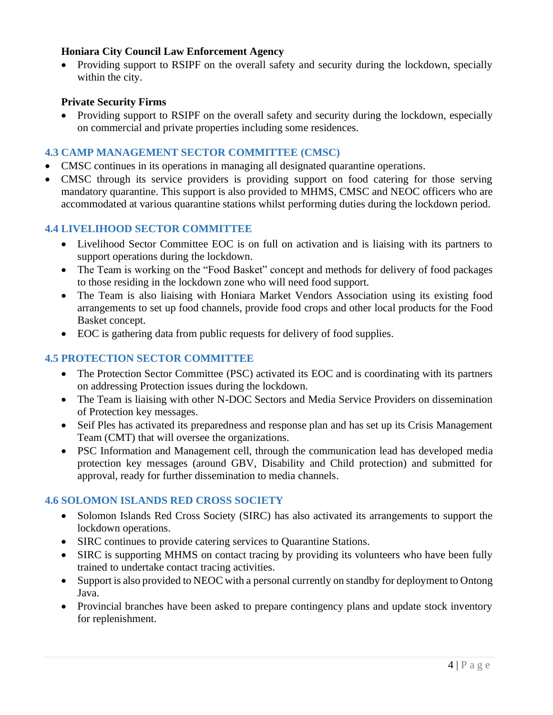#### **Honiara City Council Law Enforcement Agency**

• Providing support to RSIPF on the overall safety and security during the lockdown, specially within the city.

#### **Private Security Firms**

• Providing support to RSIPF on the overall safety and security during the lockdown, especially on commercial and private properties including some residences.

#### **4.3 CAMP MANAGEMENT SECTOR COMMITTEE (CMSC)**

- CMSC continues in its operations in managing all designated quarantine operations.
- CMSC through its service providers is providing support on food catering for those serving mandatory quarantine. This support is also provided to MHMS, CMSC and NEOC officers who are accommodated at various quarantine stations whilst performing duties during the lockdown period.

### **4.4 LIVELIHOOD SECTOR COMMITTEE**

- Livelihood Sector Committee EOC is on full on activation and is liaising with its partners to support operations during the lockdown.
- The Team is working on the "Food Basket" concept and methods for delivery of food packages to those residing in the lockdown zone who will need food support.
- The Team is also liaising with Honiara Market Vendors Association using its existing food arrangements to set up food channels, provide food crops and other local products for the Food Basket concept.
- EOC is gathering data from public requests for delivery of food supplies.

### **4.5 PROTECTION SECTOR COMMITTEE**

- The Protection Sector Committee (PSC) activated its EOC and is coordinating with its partners on addressing Protection issues during the lockdown.
- The Team is liaising with other N-DOC Sectors and Media Service Providers on dissemination of Protection key messages.
- Seif Ples has activated its preparedness and response plan and has set up its Crisis Management Team (CMT) that will oversee the organizations.
- PSC Information and Management cell, through the communication lead has developed media protection key messages (around GBV, Disability and Child protection) and submitted for approval, ready for further dissemination to media channels.

#### **4.6 SOLOMON ISLANDS RED CROSS SOCIETY**

- Solomon Islands Red Cross Society (SIRC) has also activated its arrangements to support the lockdown operations.
- SIRC continues to provide catering services to Quarantine Stations.
- SIRC is supporting MHMS on contact tracing by providing its volunteers who have been fully trained to undertake contact tracing activities.
- Support is also provided to NEOC with a personal currently on standby for deployment to Ontong Java.
- Provincial branches have been asked to prepare contingency plans and update stock inventory for replenishment.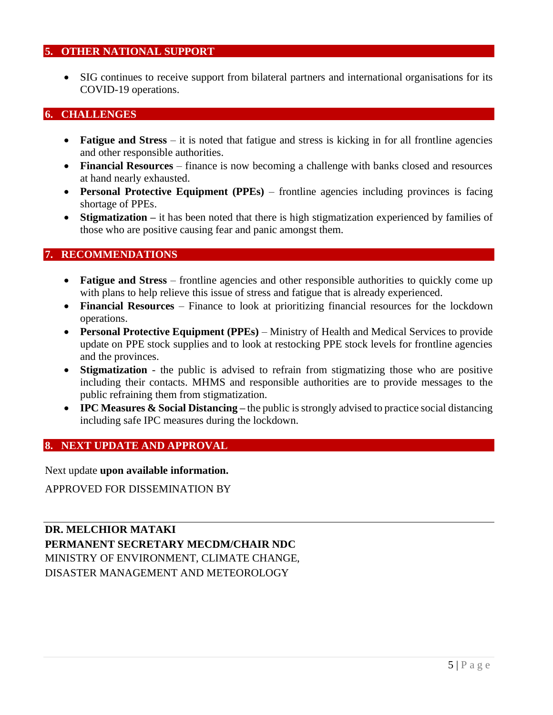#### <span id="page-4-0"></span>**5. OTHER NATIONAL SUPPORT**

• SIG continues to receive support from bilateral partners and international organisations for its COVID-19 operations.

#### <span id="page-4-1"></span>**6. CHALLENGES**

- **Fatigue and Stress** it is noted that fatigue and stress is kicking in for all frontline agencies and other responsible authorities.
- **Financial Resources** finance is now becoming a challenge with banks closed and resources at hand nearly exhausted.
- **Personal Protective Equipment (PPEs)** frontline agencies including provinces is facing shortage of PPEs.
- **Stigmatization –** it has been noted that there is high stigmatization experienced by families of those who are positive causing fear and panic amongst them.

#### <span id="page-4-2"></span>**7. RECOMMENDATIONS**

- **Fatigue and Stress** frontline agencies and other responsible authorities to quickly come up with plans to help relieve this issue of stress and fatigue that is already experienced.
- **Financial Resources** Finance to look at prioritizing financial resources for the lockdown operations.
- **Personal Protective Equipment (PPEs)** Ministry of Health and Medical Services to provide update on PPE stock supplies and to look at restocking PPE stock levels for frontline agencies and the provinces.
- **Stigmatization** the public is advised to refrain from stigmatizing those who are positive including their contacts. MHMS and responsible authorities are to provide messages to the public refraining them from stigmatization.
- **IPC Measures & Social Distancing** the public is strongly advised to practice social distancing including safe IPC measures during the lockdown.

#### <span id="page-4-3"></span>**8. NEXT UPDATE AND APPROVAL**

Next update **upon available information.**

APPROVED FOR DISSEMINATION BY

**DR. MELCHIOR MATAKI PERMANENT SECRETARY MECDM/CHAIR NDC** MINISTRY OF ENVIRONMENT, CLIMATE CHANGE, DISASTER MANAGEMENT AND METEOROLOGY